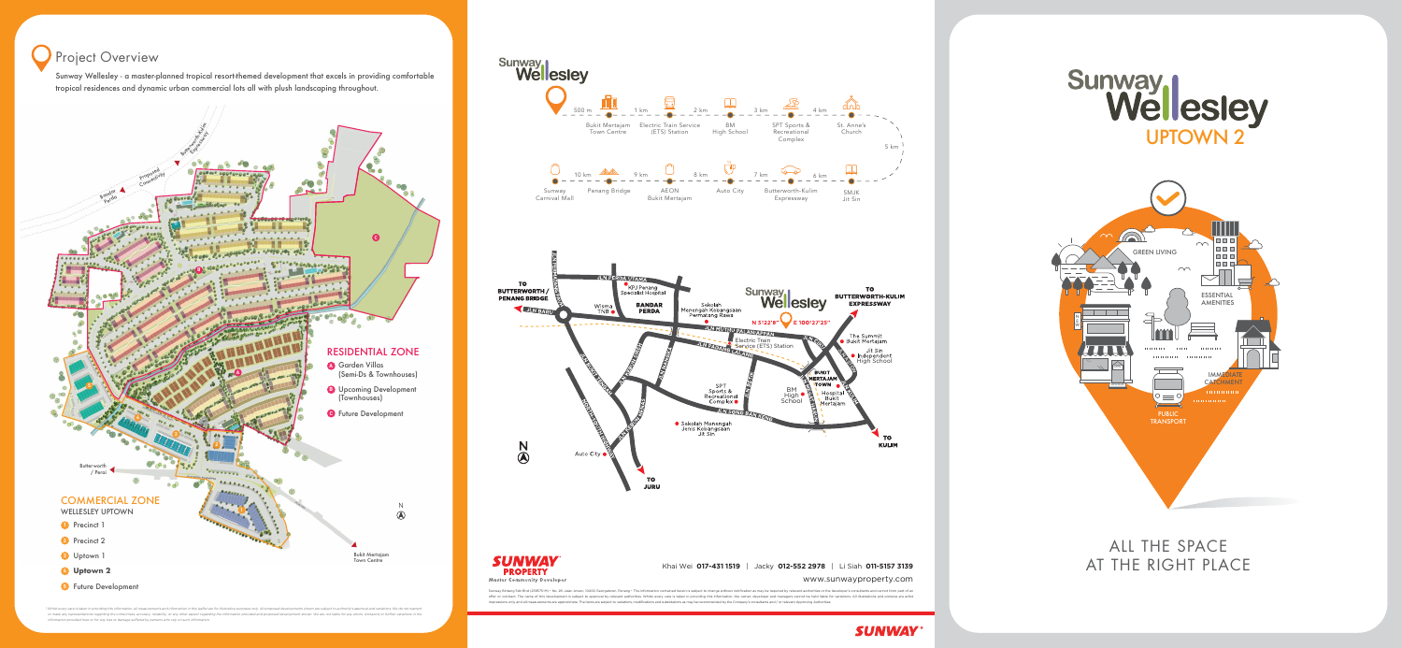www.sunwayproperty.com

Sunway Bintang Sdn Bhd (238575-M) • No. 28, Jalan Anson, 10400 Georgetown, Penang • The information contained herein is subject to change without notification as may be required by relevant authorities or the developer's c offer or contract. The name of this development is subject to approval by relevant authorities. Whilst every care is taken in providing this information, the owner, developer and managers cannot be held liable for variatio impressions only and all measurements are approximate. The items are subject to variations, modifications and substitutions as may be recommended by the Company's consultants and / or relevant Approving Authorities.







\* Whilst every care is taken in providing this information, all measurements and information in this leaflet are for illustrative purposes only. All proposed developments shown are subject to authority's approval and varia or make any representations regarding the correctness, accuracy, reliability, or any other aspect regarding the information provided and proposed development shown. We are not liable for any errors, omissions or further va *information provided here or for any loss or damage suered by persons who rely on such information.*

ALL THE SPACE AT THE RIGHT PLACE





## Project Overview

Sunway Wellesley - a master-planned tropical resort-themed development that excels in providing comfortable tropical residences and dynamic urban commercial lots all with plush landscaping throughout.

### Khai Wei **017-431 1519** | Jacky **012-552 2978** | Li Siah **011-5157 3139**